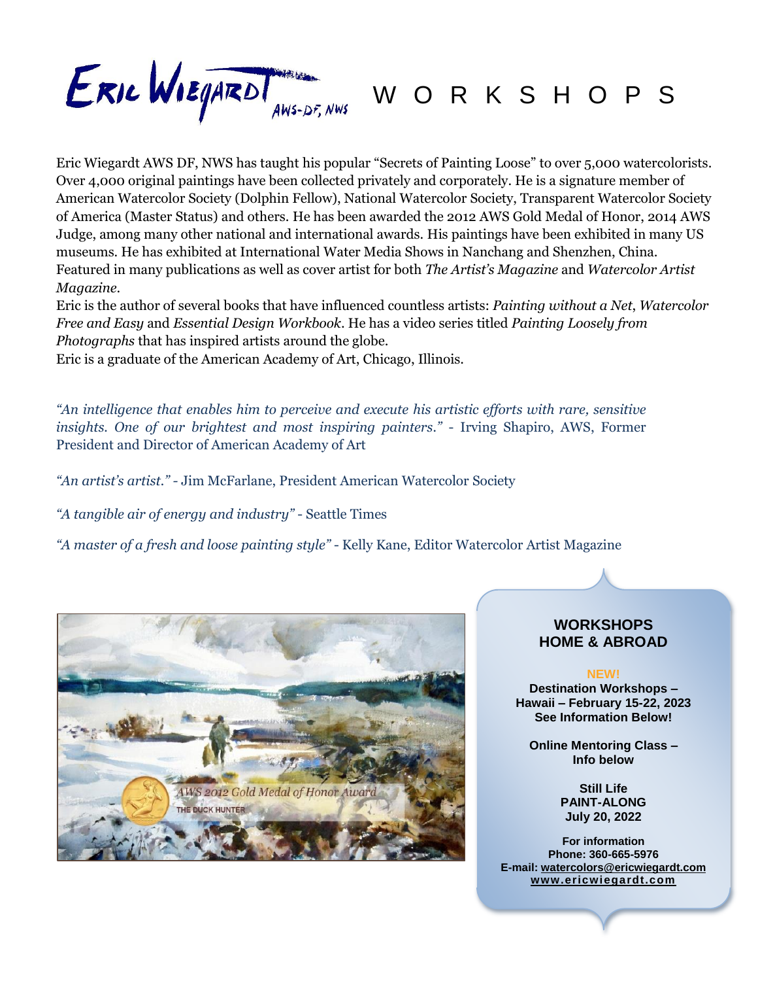

Eric Wiegardt AWS DF, NWS has taught his popular "Secrets of Painting Loose" to over 5,000 watercolorists. Over 4,000 original paintings have been collected privately and corporately. He is a signature member of American Watercolor Society (Dolphin Fellow), National Watercolor Society, Transparent Watercolor Society of America (Master Status) and others. He has been awarded the 2012 AWS Gold Medal of Honor, 2014 AWS Judge, among many other national and international awards. His paintings have been exhibited in many US museums. He has exhibited at International Water Media Shows in Nanchang and Shenzhen, China. Featured in many publications as well as cover artist for both *The Artist's Magazine* and *Watercolor Artist Magazine*.

Eric is the author of several books that have influenced countless artists: *Painting without a Net*, *Watercolor Free and Easy* and *Essential Design Workbook*. He has a video series titled *Painting Loosely from Photographs* that has inspired artists around the globe.

Eric is a graduate of the American Academy of Art, Chicago, Illinois.

*"An intelligence that enables him to perceive and execute his artistic efforts with rare, sensitive insights. One of our brightest and most inspiring painters."* - Irving Shapiro, AWS, Former President and Director of American Academy of Art

*"An artist's artist." -* Jim McFarlane, President American Watercolor Society

*"A tangible air of energy and industry"* - Seattle Times

*"A master of a fresh and loose painting style"* - Kelly Kane, Editor Watercolor Artist Magazine



#### **WORKSHOPS HOME & ABROAD**

**NEW!**

**Destination Workshops – Hawaii – February 15-22, 2023 See Information Below!**

**Online Mentoring Class – Info below**

> **Still Life PAINT-ALONG July 20, 2022**

**For information Phone: 360-665-5976 E-mail: [watercolors@ericwiegardt.com](mailto:watercolors@ericwiegardt.com) [www.ericwiegardt.com](http://www.ericwiegardt.com/)**

*Additional Workshops next page*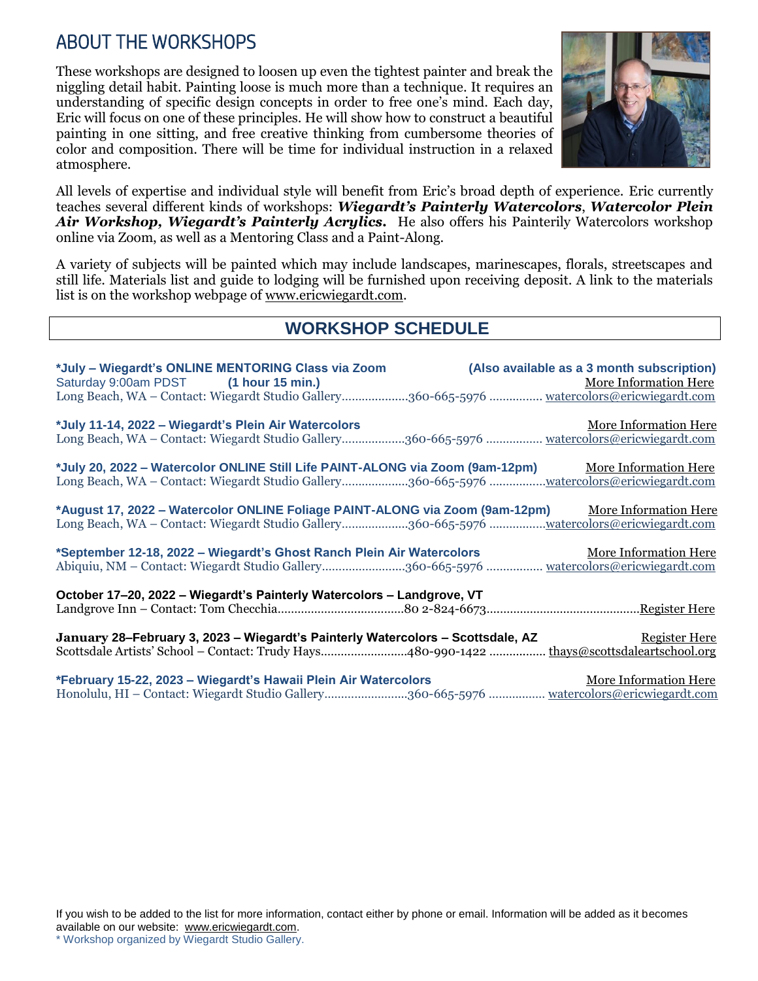## ABOUT THE WORKSHOPS

These workshops are designed to loosen up even the tightest painter and break the niggling detail habit. Painting loose is much more than a technique. It requires an understanding of specific design concepts in order to free one's mind. Each day, Eric will focus on one of these principles. He will show how to construct a beautiful painting in one sitting, and free creative thinking from cumbersome theories of color and composition. There will be time for individual instruction in a relaxed atmosphere.



All levels of expertise and individual style will benefit from Eric's broad depth of experience. Eric currently teaches several different kinds of workshops: *Wiegardt's Painterly Watercolors*, *Watercolor Plein Air Workshop, Wiegardt's Painterly Acrylics.* He also offers his Painterily Watercolors workshop online via Zoom, as well as a Mentoring Class and a Paint-Along.

A variety of subjects will be painted which may include landscapes, marinescapes, florals, streetscapes and still life. Materials list and guide to lodging will be furnished upon receiving deposit. A link to the materials list is on the workshop webpage of [www.ericwiegardt.com.](http://www.ericwiegardt.com/)

### **WORKSHOP SCHEDULE**

| *July - Wiegardt's ONLINE MENTORING Class via Zoom<br>Saturday 9:00am PDST (1 hour 15 min.)<br>Long Beach, WA - Contact: Wiegardt Studio Gallery360-665-5976  watercolors@ericwiegardt.com              | (Also available as a 3 month subscription)<br>More Information Here |
|---------------------------------------------------------------------------------------------------------------------------------------------------------------------------------------------------------|---------------------------------------------------------------------|
| *July 11-14, 2022 - Wiegardt's Plein Air Watercolors<br>Long Beach, WA – Contact: Wiegardt Studio Gallery360-665-5976  watercolors@ericwiegardt.com                                                     | More Information Here                                               |
| *July 20, 2022 - Watercolor ONLINE Still Life PAINT-ALONG via Zoom (9am-12pm) More Information Here<br>Long Beach, WA - Contact: Wiegardt Studio Gallery360-665-5976 watercolors@ericwiegardt.com       |                                                                     |
| *August 17, 2022 - Watercolor ONLINE Foliage PAINT-ALONG via Zoom (9am-12pm) More Information Here<br>Long Beach, WA – Contact: Wiegardt Studio Gallery360-665-5976 <u>watercolors@ericwiegardt.com</u> |                                                                     |
| *September 12-18, 2022 – Wiegardt's Ghost Ranch Plein Air Watercolors<br>Abiquiu, NM - Contact: Wiegardt Studio Gallery360-665-5976  watercolors@ericwiegardt.com                                       | More Information Here                                               |
| October 17-20, 2022 - Wiegardt's Painterly Watercolors - Landgrove, VT                                                                                                                                  |                                                                     |
| January 28–February 3, 2023 – Wiegardt's Painterly Watercolors – Scottsdale, AZ<br>Scottsdale Artists' School - Contact: Trudy Hays480-990-1422  thays@scottsdaleartschool.org                          | <b>Register Here</b>                                                |
| *February 15-22, 2023 - Wiegardt's Hawaii Plein Air Watercolors<br>Honolulu, HI – Contact: Wiegardt Studio Gallery360-665-5976  watercolors@ericwiegardt.com                                            | More Information Here                                               |

<sup>\*</sup> Workshop organized by Wiegardt Studio Gallery.